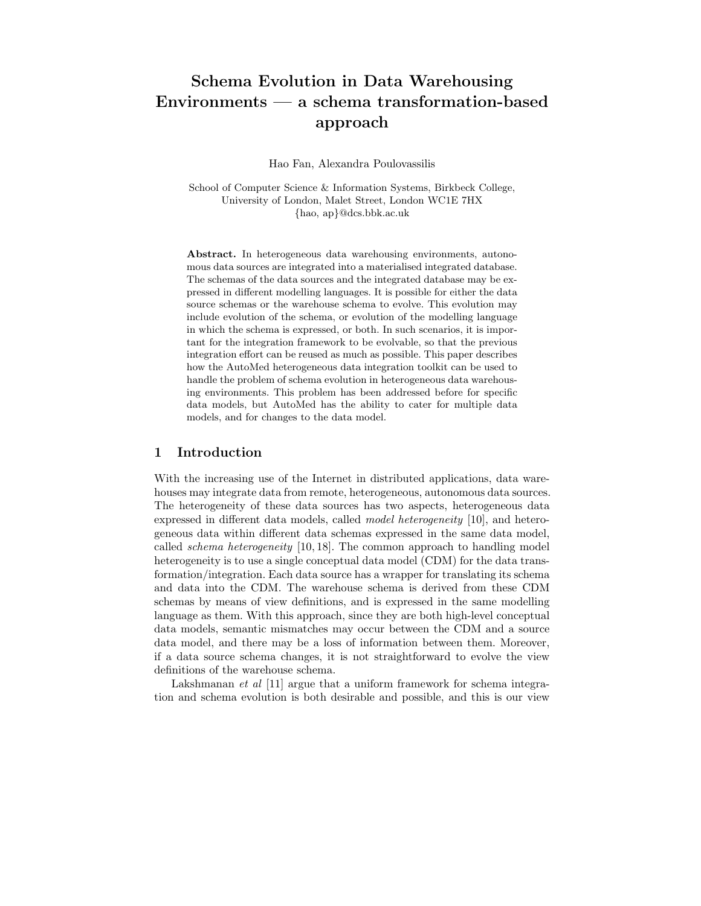# Schema Evolution in Data Warehousing Environments — a schema transformation-based approach

Hao Fan, Alexandra Poulovassilis

School of Computer Science & Information Systems, Birkbeck College, University of London, Malet Street, London WC1E 7HX {hao, ap}@dcs.bbk.ac.uk

Abstract. In heterogeneous data warehousing environments, autonomous data sources are integrated into a materialised integrated database. The schemas of the data sources and the integrated database may be expressed in different modelling languages. It is possible for either the data source schemas or the warehouse schema to evolve. This evolution may include evolution of the schema, or evolution of the modelling language in which the schema is expressed, or both. In such scenarios, it is important for the integration framework to be evolvable, so that the previous integration effort can be reused as much as possible. This paper describes how the AutoMed heterogeneous data integration toolkit can be used to handle the problem of schema evolution in heterogeneous data warehousing environments. This problem has been addressed before for specific data models, but AutoMed has the ability to cater for multiple data models, and for changes to the data model.

## 1 Introduction

With the increasing use of the Internet in distributed applications, data warehouses may integrate data from remote, heterogeneous, autonomous data sources. The heterogeneity of these data sources has two aspects, heterogeneous data expressed in different data models, called *model heterogeneity* [10], and heterogeneous data within different data schemas expressed in the same data model, called schema heterogeneity [10, 18]. The common approach to handling model heterogeneity is to use a single conceptual data model (CDM) for the data transformation/integration. Each data source has a wrapper for translating its schema and data into the CDM. The warehouse schema is derived from these CDM schemas by means of view definitions, and is expressed in the same modelling language as them. With this approach, since they are both high-level conceptual data models, semantic mismatches may occur between the CDM and a source data model, and there may be a loss of information between them. Moreover, if a data source schema changes, it is not straightforward to evolve the view definitions of the warehouse schema.

Lakshmanan et al [11] argue that a uniform framework for schema integration and schema evolution is both desirable and possible, and this is our view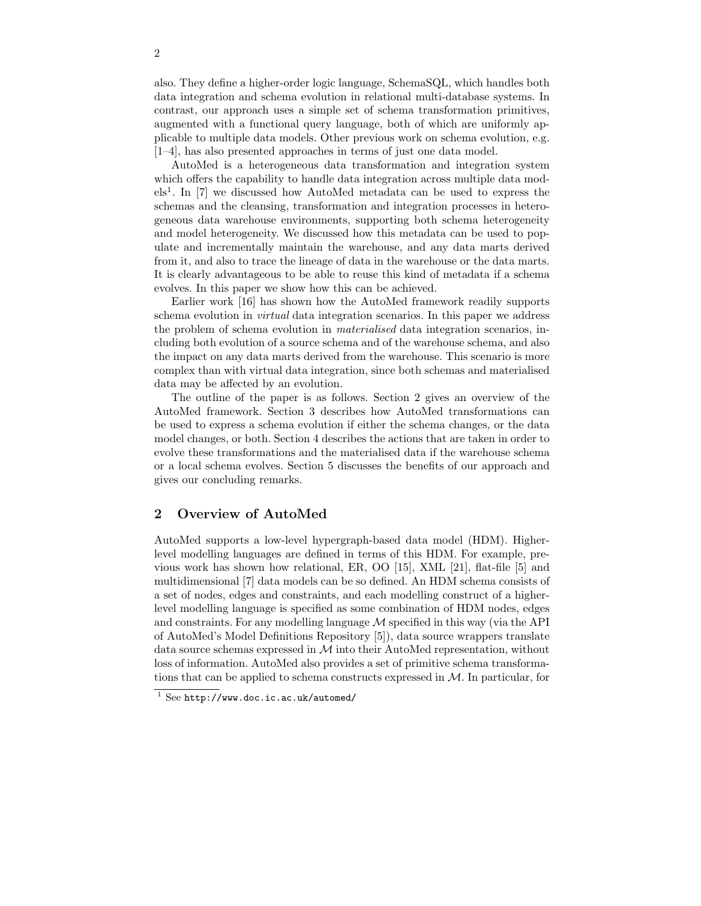also. They define a higher-order logic language, SchemaSQL, which handles both data integration and schema evolution in relational multi-database systems. In contrast, our approach uses a simple set of schema transformation primitives, augmented with a functional query language, both of which are uniformly applicable to multiple data models. Other previous work on schema evolution, e.g. [1–4], has also presented approaches in terms of just one data model.

AutoMed is a heterogeneous data transformation and integration system which offers the capability to handle data integration across multiple data models<sup>1</sup>. In [7] we discussed how AutoMed metadata can be used to express the schemas and the cleansing, transformation and integration processes in heterogeneous data warehouse environments, supporting both schema heterogeneity and model heterogeneity. We discussed how this metadata can be used to populate and incrementally maintain the warehouse, and any data marts derived from it, and also to trace the lineage of data in the warehouse or the data marts. It is clearly advantageous to be able to reuse this kind of metadata if a schema evolves. In this paper we show how this can be achieved.

Earlier work [16] has shown how the AutoMed framework readily supports schema evolution in *virtual* data integration scenarios. In this paper we address the problem of schema evolution in materialised data integration scenarios, including both evolution of a source schema and of the warehouse schema, and also the impact on any data marts derived from the warehouse. This scenario is more complex than with virtual data integration, since both schemas and materialised data may be affected by an evolution.

The outline of the paper is as follows. Section 2 gives an overview of the AutoMed framework. Section 3 describes how AutoMed transformations can be used to express a schema evolution if either the schema changes, or the data model changes, or both. Section 4 describes the actions that are taken in order to evolve these transformations and the materialised data if the warehouse schema or a local schema evolves. Section 5 discusses the benefits of our approach and gives our concluding remarks.

## 2 Overview of AutoMed

AutoMed supports a low-level hypergraph-based data model (HDM). Higherlevel modelling languages are defined in terms of this HDM. For example, previous work has shown how relational, ER, OO [15], XML [21], flat-file [5] and multidimensional [7] data models can be so defined. An HDM schema consists of a set of nodes, edges and constraints, and each modelling construct of a higherlevel modelling language is specified as some combination of HDM nodes, edges and constraints. For any modelling language  $M$  specified in this way (via the API of AutoMed's Model Definitions Repository [5]), data source wrappers translate data source schemas expressed in  $\mathcal M$  into their AutoMed representation, without loss of information. AutoMed also provides a set of primitive schema transformations that can be applied to schema constructs expressed in M. In particular, for

<sup>1</sup> See http://www.doc.ic.ac.uk/automed/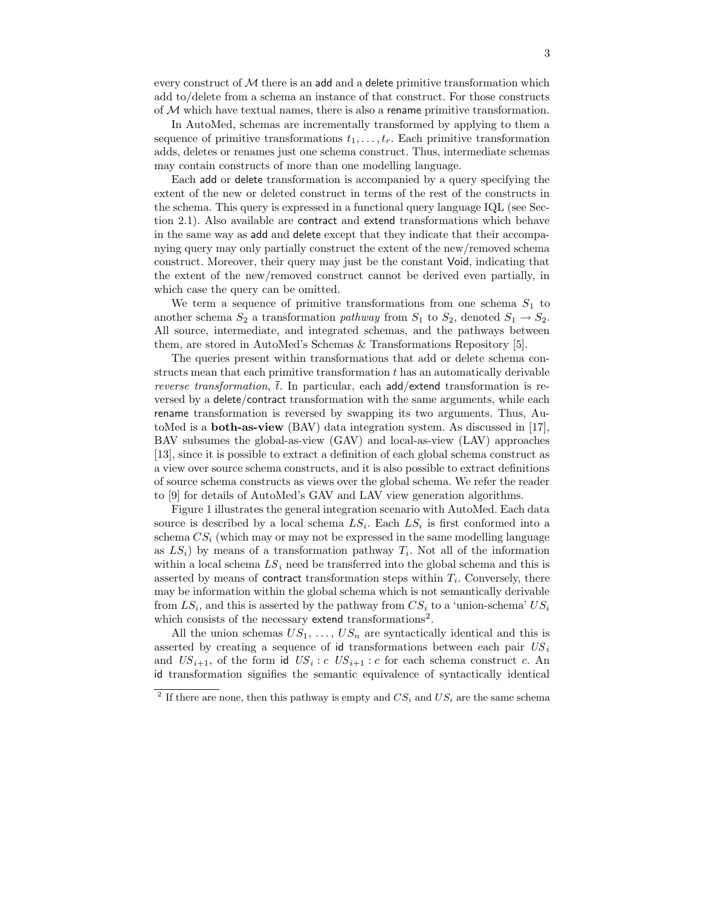every construct of  $\mathcal M$  there is an add and a delete primitive transformation which add to/delete from a schema an instance of that construct. For those constructs of  $M$  which have textual names, there is also a rename primitive transformation.

In AutoMed, schemas are incrementally transformed by applying to them a sequence of primitive transformations  $t_1, \ldots, t_r$ . Each primitive transformation adds, deletes or renames just one schema construct. Thus, intermediate schemas may contain constructs of more than one modelling language.

Each add or delete transformation is accompanied by a query specifying the extent of the new or deleted construct in terms of the rest of the constructs in the schema. This query is expressed in a functional query language IQL (see Section 2.1). Also available are contract and extend transformations which behave in the same way as add and delete except that they indicate that their accompanying query may only partially construct the extent of the new/removed schema construct. Moreover, their query may just be the constant Void, indicating that the extent of the new/removed construct cannot be derived even partially, in which case the query can be omitted.

We term a sequence of primitive transformations from one schema  $S_1$  to another schema  $S_2$  a transformation pathway from  $S_1$  to  $S_2$ , denoted  $S_1 \rightarrow S_2$ . All source, intermediate, and integrated schemas, and the pathways between them, are stored in AutoMed's Schemas & Transformations Repository [5].

The queries present within transformations that add or delete schema constructs mean that each primitive transformation  $t$  has an automatically derivable reverse transformation,  $\bar{t}$ . In particular, each add/extend transformation is reversed by a delete/contract transformation with the same arguments, while each rename transformation is reversed by swapping its two arguments. Thus, AutoMed is a both-as-view (BAV) data integration system. As discussed in [17], BAV subsumes the global-as-view (GAV) and local-as-view (LAV) approaches [13], since it is possible to extract a definition of each global schema construct as a view over source schema constructs, and it is also possible to extract definitions of source schema constructs as views over the global schema. We refer the reader to [9] for details of AutoMed's GAV and LAV view generation algorithms.

Figure 1 illustrates the general integration scenario with AutoMed. Each data source is described by a local schema  $LS_i$ . Each  $LS_i$  is first conformed into a schema  $CS<sub>i</sub>$  (which may or may not be expressed in the same modelling language as  $LS_i$ ) by means of a transformation pathway  $T_i$ . Not all of the information within a local schema  $LS<sub>i</sub>$  need be transferred into the global schema and this is asserted by means of contract transformation steps within  $T_i$ . Conversely, there may be information within the global schema which is not semantically derivable from  $LS_i$ , and this is asserted by the pathway from  $CS_i$  to a 'union-schema'  $US_i$ which consists of the necessary extend transformations<sup>2</sup>.

All the union schemas  $US_1, \ldots, US_n$  are syntactically identical and this is asserted by creating a sequence of id transformations between each pair  $US_i$ and  $US_{i+1}$ , of the form id  $US_i : c \text{ } US_{i+1} : c \text{ for each schema construct } c$ . An id transformation signifies the semantic equivalence of syntactically identical

<sup>&</sup>lt;sup>2</sup> If there are none, then this pathway is empty and  $CS_i$  and  $US_i$  are the same schema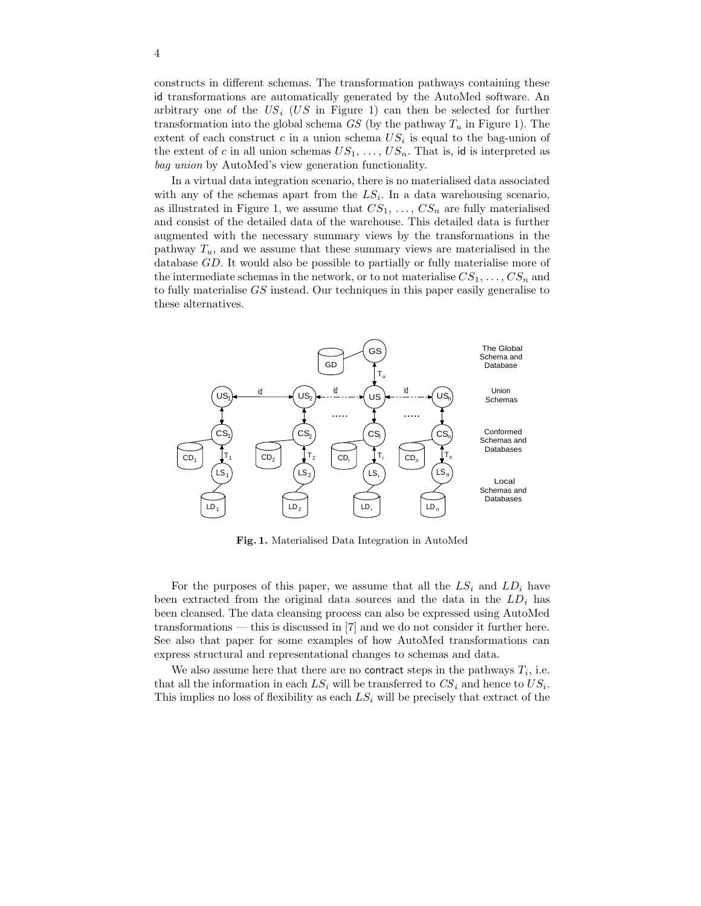constructs in different schemas. The transformation pathways containing these id transformations are automatically generated by the AutoMed software. An arbitrary one of the  $US_i$  (US in Figure 1) can then be selected for further transformation into the global schema  $GS$  (by the pathway  $T_u$  in Figure 1). The extent of each construct c in a union schema  $US_i$  is equal to the bag-union of the extent of c in all union schemas  $US_1, \ldots, US_n$ . That is, id is interpreted as bag union by AutoMed's view generation functionality.

In a virtual data integration scenario, there is no materialised data associated with any of the schemas apart from the  $LS_i$ . In a data warehousing scenario, as illustrated in Figure 1, we assume that  $CS_1, \ldots, CS_n$  are fully materialised and consist of the detailed data of the warehouse. This detailed data is further augmented with the necessary summary views by the transformations in the pathway  $T_u$ , and we assume that these summary views are materialised in the database GD. It would also be possible to partially or fully materialise more of the intermediate schemas in the network, or to not materialise  $CS_1, \ldots, CS_n$  and to fully materialise GS instead. Our techniques in this paper easily generalise to these alternatives.



Fig. 1. Materialised Data Integration in AutoMed

For the purposes of this paper, we assume that all the  $LS<sub>i</sub>$  and  $LD<sub>i</sub>$  have been extracted from the original data sources and the data in the  $LD_i$  has been cleansed. The data cleansing process can also be expressed using AutoMed transformations — this is discussed in [7] and we do not consider it further here. See also that paper for some examples of how AutoMed transformations can express structural and representational changes to schemas and data.

We also assume here that there are no contract steps in the pathways  $T_i$ , i.e. that all the information in each  $LS_i$  will be transferred to  $CS_i$  and hence to  $US_i$ . This implies no loss of flexibility as each  $LS_i$  will be precisely that extract of the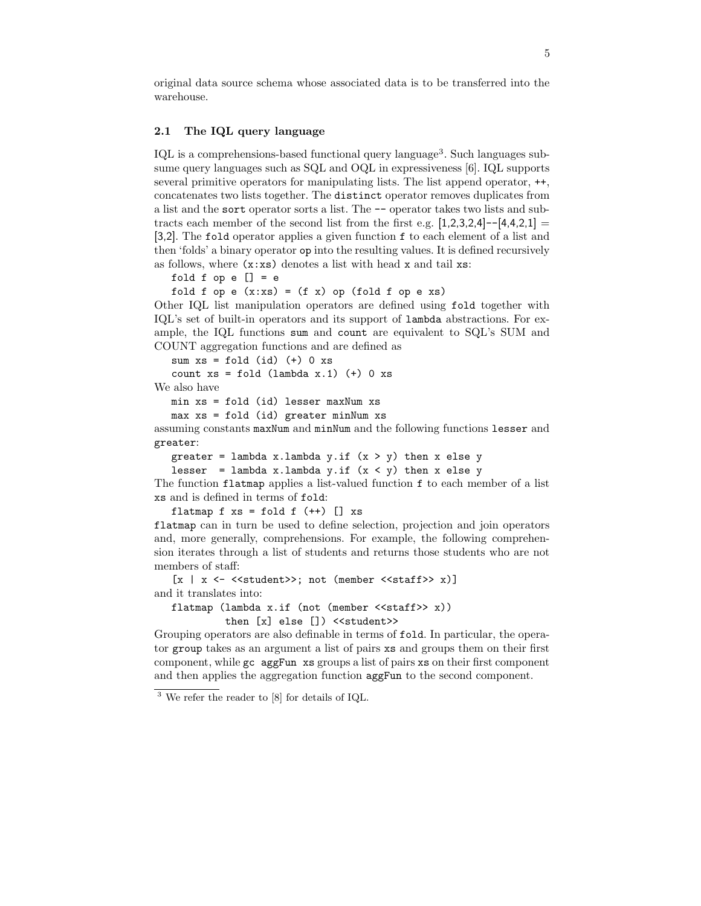original data source schema whose associated data is to be transferred into the warehouse.

#### 2.1 The IQL query language

IQL is a comprehensions-based functional query language<sup>3</sup>. Such languages subsume query languages such as SQL and OQL in expressiveness [6]. IQL supports several primitive operators for manipulating lists. The list append operator, ++, concatenates two lists together. The distinct operator removes duplicates from a list and the sort operator sorts a list. The -- operator takes two lists and subtracts each member of the second list from the first e.g.  $[1,2,3,2,4]-[4,4,2,1]=$ [3,2]. The fold operator applies a given function f to each element of a list and then 'folds' a binary operator op into the resulting values. It is defined recursively as follows, where  $(x:xs)$  denotes a list with head x and tail xs:

fold f op  $e$   $[] = e$ 

fold f op  $e(x:xs) = (f(x))$  op (fold f op  $e(xs)$ 

Other IQL list manipulation operators are defined using fold together with IQL's set of built-in operators and its support of lambda abstractions. For example, the IQL functions sum and count are equivalent to SQL's SUM and COUNT aggregation functions and are defined as

```
sum xs = fold (id) (+) 0 xscount xs = fold (lambda x.1) (+) 0 xsWe also have
```
min xs = fold (id) lesser maxNum xs

max xs = fold (id) greater minNum xs

assuming constants maxNum and minNum and the following functions lesser and greater:

greater = lambda x.lambda y.if  $(x > y)$  then x else y lesser = lambda x.lambda y.if  $(x < y)$  then x else y

The function flatmap applies a list-valued function f to each member of a list xs and is defined in terms of fold:

flatmap f  $xs = fold f (++) [] xs$ 

flatmap can in turn be used to define selection, projection and join operators and, more generally, comprehensions. For example, the following comprehension iterates through a list of students and returns those students who are not members of staff:

```
[x | x <- <<student>>; not (member <<staff>> x)]
and it translates into:
```

```
flatmap (lambda x.if (not (member \langlestaff>> x))
```
then [x] else []) <<student>>

Grouping operators are also definable in terms of fold. In particular, the operator group takes as an argument a list of pairs xs and groups them on their first component, while gc aggFun xs groups a list of pairs xs on their first component and then applies the aggregation function aggFun to the second component.

<sup>3</sup> We refer the reader to [8] for details of IQL.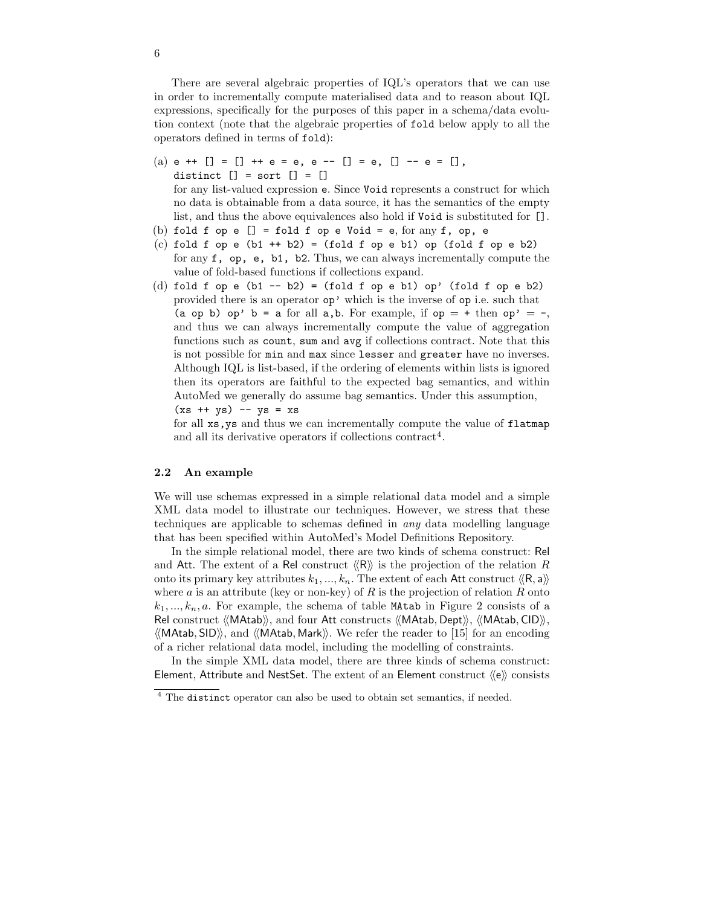There are several algebraic properties of IQL's operators that we can use in order to incrementally compute materialised data and to reason about IQL expressions, specifically for the purposes of this paper in a schema/data evolution context (note that the algebraic properties of fold below apply to all the operators defined in terms of fold):

- $(a) e + [ ] = [ ] + e = e, e [ ] = e, [ ] e = [ ]$ distinct [] = sort [] = [] for any list-valued expression e. Since Void represents a construct for which no data is obtainable from a data source, it has the semantics of the empty list, and thus the above equivalences also hold if Void is substituted for [].
- (b) fold f op e  $[] =$  fold f op e Void = e, for any f, op, e
- (c) fold f op e  $(b1 + b2) = (fold f op e b1)$  op  $(fold f op e b2)$ for any f, op, e, b1, b2. Thus, we can always incrementally compute the value of fold-based functions if collections expand.
- (d) fold f op e  $(b1 b2) = (fold f op e b1) op' (fold f op e b2)$ provided there is an operator op' which is the inverse of op i.e. such that (a op b) op' b = a for all a, b. For example, if  $op = +$  then  $op' = -$ , and thus we can always incrementally compute the value of aggregation functions such as count, sum and avg if collections contract. Note that this is not possible for min and max since lesser and greater have no inverses. Although IQL is list-based, if the ordering of elements within lists is ignored then its operators are faithful to the expected bag semantics, and within AutoMed we generally do assume bag semantics. Under this assumption,  $(xs + ys)$  --  $ys = xs$

for all xs,ys and thus we can incrementally compute the value of flatmap and all its derivative operators if collections contract<sup>4</sup>.

### 2.2 An example

We will use schemas expressed in a simple relational data model and a simple XML data model to illustrate our techniques. However, we stress that these techniques are applicable to schemas defined in any data modelling language that has been specified within AutoMed's Model Definitions Repository.

In the simple relational model, there are two kinds of schema construct: Rel and Att. The extent of a Rel construct  $\langle R \rangle$  is the projection of the relation R onto its primary key attributes  $k_1, ..., k_n$ . The extent of each Att construct  $\langle R, a \rangle$ where a is an attribute (key or non-key) of  $R$  is the projection of relation  $R$  onto  $k_1, ..., k_n, a$ . For example, the schema of table MAtab in Figure 2 consists of a Rel construct  $\langle MAtab \rangle$ , and four Att constructs  $\langle MAtab, Dept \rangle$ ,  $\langle MAtab, CID \rangle$ ,  $\langle\langle MAtab, SID \rangle\rangle$ , and  $\langle\langle MAtab, Mark \rangle\rangle$ . We refer the reader to [15] for an encoding of a richer relational data model, including the modelling of constraints.

In the simple XML data model, there are three kinds of schema construct: Element, Attribute and NestSet. The extent of an Element construct  $\langle\langle e \rangle\rangle$  consists

6

<sup>4</sup> The distinct operator can also be used to obtain set semantics, if needed.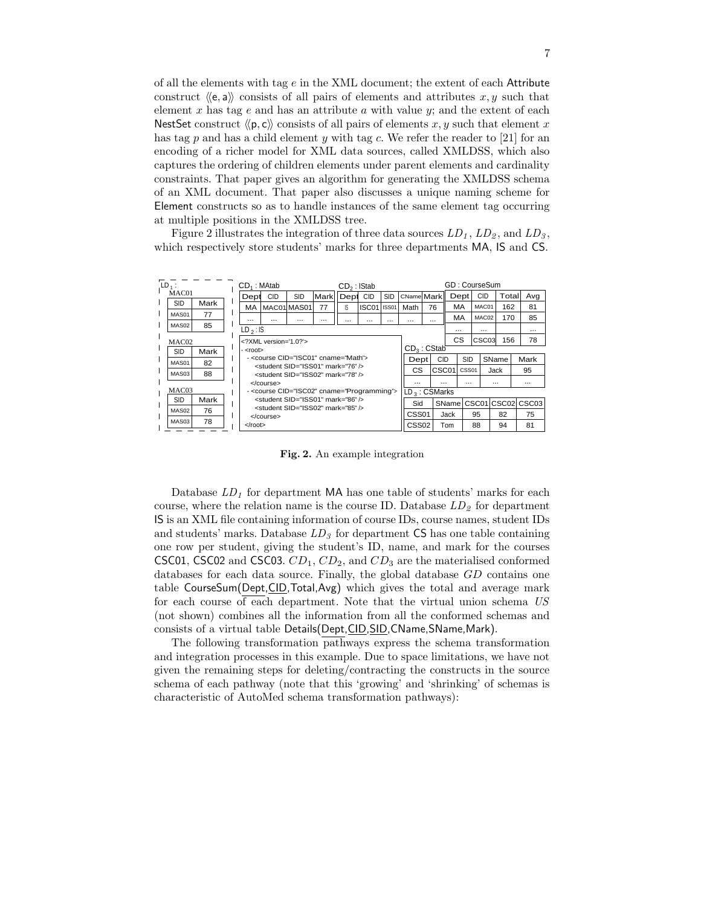of all the elements with tag  $e$  in the XML document; the extent of each Attribute construct  $\langle e, a \rangle$  consists of all pairs of elements and attributes x, y such that element x has tag e and has an attribute a with value y; and the extent of each NestSet construct  $\langle \langle p, c \rangle \rangle$  consists of all pairs of elements x, y such that element x has tag p and has a child element y with tag c. We refer the reader to [21] for an encoding of a richer model for XML data sources, called XMLDSS, which also captures the ordering of children elements under parent elements and cardinality constraints. That paper gives an algorithm for generating the XMLDSS schema of an XML document. That paper also discusses a unique naming scheme for Element constructs so as to handle instances of the same element tag occurring at multiple positions in the XMLDSS tree.

Figure 2 illustrates the integration of three data sources  $LD_1$ ,  $LD_2$ , and  $LD_3$ , which respectively store students' marks for three departments MA, IS and CS.

| $LD_1$ : |       |                                                                                              |                                              | CD. : MAtab                                   |                    |                                                     |          |          | $CD2$ : IStab  |            |                   |               | GD: CourseSum |                         |       |          |      |     |  |  |
|----------|-------|----------------------------------------------------------------------------------------------|----------------------------------------------|-----------------------------------------------|--------------------|-----------------------------------------------------|----------|----------|----------------|------------|-------------------|---------------|---------------|-------------------------|-------|----------|------|-----|--|--|
|          | MAC01 |                                                                                              |                                              | Dept                                          | CID                | SID<br>Mark                                         |          | Dept     | <b>CID</b>     | <b>SID</b> | CName Mark        |               |               | CID<br>Dept             |       | Totall   |      | Avg |  |  |
|          | SID   | Mark                                                                                         |                                              | МA                                            |                    | MAC01 MAS01                                         | 77       | IS       | ISC01 ISS01    |            | Math              | 76            | MA            |                         | MAC01 | 162      |      | 81  |  |  |
|          | MAS01 | 77                                                                                           |                                              | $\cdots$                                      |                    | $\cdots$                                            | $\cdots$ | $\cdots$ |                | $\cdots$   | $\cdots$          | $\cdots$      | MA            |                         | MAC02 |          | 170  | 85  |  |  |
|          | MAS02 | 85<br>$LD_2:IS$<br>$\cdots$<br>$\cdots$                                                      |                                              |                                               |                    |                                                     |          |          |                |            |                   |               |               |                         |       | $\cdots$ |      |     |  |  |
|          | MAC02 |                                                                                              |                                              |                                               | XML version='1.0?' |                                                     |          |          |                |            |                   |               | CS            | CSC <sub>03</sub>       |       | 156      |      | 78  |  |  |
|          | SID   | - <root><br/>Mark</root>                                                                     |                                              |                                               |                    |                                                     |          |          |                |            |                   | $CD3$ : CStab |               |                         |       |          |      |     |  |  |
|          | MAS01 | 82                                                                                           | - <course cid="ISC01" cname="Math"></course> |                                               |                    |                                                     |          |          |                |            | Dept              | <b>CID</b>    |               | <b>SID</b>              |       | SName    | Mark |     |  |  |
|          | MAS03 | <student mark="76" sid="ISS01"></student><br>88<br><student mark="78" sid="ISS02"></student> |                                              |                                               |                    |                                                     |          |          |                |            | CS<br>CSC01       |               | CSS01         |                         | Jack  | 95       |      |     |  |  |
|          |       | $<$ /course>                                                                                 |                                              |                                               |                    |                                                     |          |          |                |            | $\cdots$          |               |               |                         |       |          |      |     |  |  |
|          | MAC03 |                                                                                              |                                              |                                               |                    | - <course cid="ISC02" cname="Programming"></course> |          |          | $LD_3:CSMarks$ |            |                   |               |               |                         |       |          |      |     |  |  |
|          | SID   | Mark                                                                                         |                                              | <student mark="86" sid="ISS01"></student>     |                    |                                                     |          |          |                |            |                   | Sid           |               | SName CSC01 CSC02 CSC03 |       |          |      |     |  |  |
|          | MAS02 | 76                                                                                           |                                              | <student mark="85" sid="ISS02"></student><br> |                    |                                                     |          |          |                |            | CSS01             |               | Jack          | 95                      |       | 82       |      | 75  |  |  |
|          | MAS03 | 78                                                                                           |                                              |                                               |                    |                                                     |          |          |                |            | CSS <sub>02</sub> |               | Tom           |                         | 88    | 94       |      | 81  |  |  |

Fig. 2. An example integration

Database  $LD_1$  for department MA has one table of students' marks for each course, where the relation name is the course ID. Database  $LD_2$  for department IS is an XML file containing information of course IDs, course names, student IDs and students' marks. Database  $LD_3$  for department CS has one table containing one row per student, giving the student's ID, name, and mark for the courses CSC01, CSC02 and CSC03.  $CD_1$ ,  $CD_2$ , and  $CD_3$  are the materialised conformed databases for each data source. Finally, the global database GD contains one table CourseSum(Dept,CID,Total,Avg) which gives the total and average mark for each course of each department. Note that the virtual union schema US (not shown) combines all the information from all the conformed schemas and consists of a virtual table Details(Dept, CID, SID, CName, SName, Mark).

The following transformation pathways express the schema transformation and integration processes in this example. Due to space limitations, we have not given the remaining steps for deleting/contracting the constructs in the source schema of each pathway (note that this 'growing' and 'shrinking' of schemas is characteristic of AutoMed schema transformation pathways):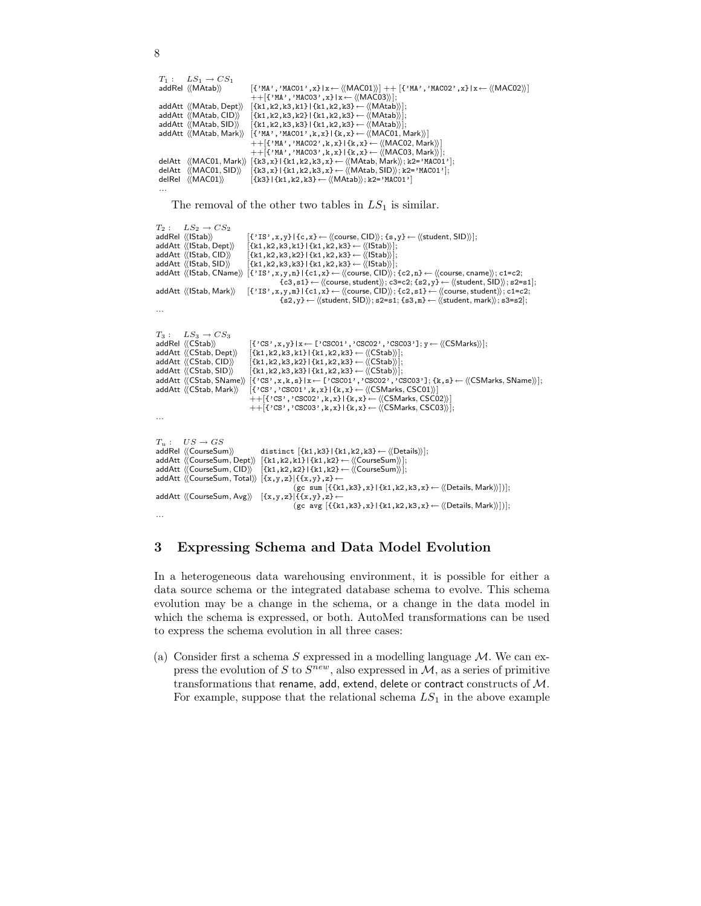```
T_1: \quad LS_1 \rightarrow CS_1<br>addRel \langle\langle \text{MAtab} \rangle\rangle[{\mathsf{{}'M}\mathsf{A}}',{\mathsf{{}'MAC01}}',x] | x \leftarrow \langle \langle \mathsf{MAC01} \rangle \rangle] + [{\mathsf{{}'M}\mathsf{A}}',{\mathsf{{}'MAC02}}',x] | x \leftarrow \langle \langle \mathsf{MAC02} \rangle \rangle]++[{'MA','MAC03',x}|x←\(MAC03')];<br>|addAtt ({MAtab, Dept))   [{k1,k2,k3,k1}|{k1,k2,k3}← ({MAtab)}
 addAtt «MAtab, CID» [{k1,k2,k3,k2}|{k1,k2,k3}← «MAtab»];<br>addAtt «MAtab, SID» [{k1,k2,k3,k3}|{k1,k2,k3}← «MAtab»];
addAtt \langle \langle MAtab, MarK \rangle \rangle \langle \langle YMAY, YMACO1Y, k, x \rangle | \{k, x\} \leftarrow \langle \langle MAC01, Mark \rangle \rangle++[{'MA','MAC02',k,x}|{k,x}←\\MAC02, Mark)\]<br>++[{'MA','MAC03',k,x}|{k,x}←\\MAC03, Mark)\];
delAtt \langle (MAC01, Mark) \{ {k3,x} \} | {k1,k2,k3,x} \leftarrow \langle (MAtab, Mark) \} ; k2 = 'MAC01' \}; delAtt \langle (MAC01, SID) \rangle {k3,x} {k1,k2,k3,x} \leftarrow \langle (MAtab, SID) \rangle ; k2 = 'MAC01' \};
delAtt \langle MAC01, SD \rangle [\{k3, x\}|\{k1, k2, k3, x\} \leftarrow \langle MAtab, SID \rangle; k2='MAC01'];
delRel \langle \langle MAC01 \rangle \rangle [{k3}|{k1,k2,k3}←\langle \langle MAtab \rangle \rangle; k2='MAC01']
 ...
```
The removal of the other two tables in  $LS_1$  is similar.

8

```
T_2: \quad LS_2 \rightarrow CS_2<br>addRel \langle\langleIStab\rangle\rangleaddRel \langle(Stab\rangle) [\{YIS', x, y\} | {c, x} \leftarrow \langle (course, CID\rangle); {s, y} ← \langle (student, SID\rangle); addAtt \langle(IStab, Dept\rangle) [\{k1, k2, k3, k1\} | {k1, k2, k3} \leftarrow \langle(IStab\rangle);
                                                                    [\{\texttt{k1}, \texttt{k2}, \texttt{k3}, \texttt{k1}\}|\{\texttt{k1}, \texttt{k2}, \texttt{k3}\} \leftarrow \langle\!\langle \textsf{IStab} \rangle\!\rangle]addAtt \langle(IStab, CID)|{\rm \{k1,k2,k3,k2\}\}\,{\rm \{k1,k2,k3\}}\leftarrow \langle{\rm \{Stab}\rangle}|<br>addAtt \langle{\rm \{Stab,SID\}}\rangle; [{k1,k2,k3,k3}|{k1,k2,k3} ← \langle{\rm \{Stab\}}\rangle|\lbrack \{\text{k1},\text{k2},\text{k3},\text{k3}\}|\{\text{k1},\text{k2},\text{k3}\} \leftarrow \langle \!\langle \textsf{IStab} \rangle \!\rangle \rbrack\mathsf{addAtt}\ \langle\!\langle \mathsf{IStab}, \mathsf{CMame} \rangle\!\rangle\ [\{\mathsf{`IS'}\,,\mathsf{x},\mathsf{y},\mathsf{n}\}\!\mid\!\{\mathtt{c1},\mathsf{x}\} \leftarrow \langle\!\langle \mathsf{course}, \mathsf{CID} \rangle\!\rangle\!\rangle; \{\mathtt{c2},\mathsf{n}\} \leftarrow \langle\!\langle \mathsf{course}, \mathsf{chame} \rangle\!\rangle; \mathtt{c1=c2};{c3,s1} \leftarrow \langle \! \langle \text{course}, \text{student} \rangle \rangle; c3=c2; \{s2,y\} \leftarrow \langle \! \langle \text{student}, \text{SID} \rangle \rangle; s2=s1];addAtt 《(Stab, Mark)》 [{'IS',x,y,m}|{c1,x}←《course, CID》; {c2,s1}←《course, student》; c1=c2;<br>{s2,y}←《student, SID》; s2=s1; {s3,m}←《student, mark》; s3=s2];
 ...
T_3: \quad LS_3 \rightarrow CS_3<br>addRel \langle\langleCStab\rangle\rangleaddRel \langle(CStab\rangle) [{'CS',x,y}|x←['CSC01','CSC02','CSC03']; y←\langle(CSMarks\rangle]; addAtt \langle(CStab, Dept\rangle) [{k1,k2,k3,k1}|{k1,k2,k3}←\langle(CStab\rangle}];
addAtt \langle \langle \text{CStab}, \text{Dept} \rangle \rangle [{k1,k2,k3,k1}|{k1,k2,k3}←\langle \langle \text{CStab} \rangle \rangle];<br>addAtt \langle \langle \text{CStab}, \text{ClD} \rangle \rangle [{k1,k2,k3,k2}|{k1,k2,k3}←\langle \langle \text{CStab} \rangle \rangle];
addAtt \langle\langle \text{CStab}, \text{CID} \rangle\rangle [{k1,k2,k3,k2}|{k1,k2,k3}←\langle\langle \text{CStab} \rangle\rangle<br>addAtt \langle\langle \text{CStab}, \text{SID} \rangle\rangle [{k1,k2,k3,k3}|{k1,k2,k3}←\langle\langle \text{CStab} \rangle\rangle]
addAtt \langle \langle \text{CStab}, \text{SID} \rangle \rangle = \left[ \{k1, k2, k3, k3\} \right] \{ k1, k2, k3\} + \langle \langle \text{CStab} \rangle \rangle \right];addAtt \langle \langle \text{CStab}, \text{Shame} \rangle \rangle = \left\{ \{ \langle \text{CS}, x, k, s \} \right\} \{ \langle x - \text{CSCO1}, \langle \text{CSCO2}, \langle \text{CSCO2}, \text{CSCO1} \rangle \}addAtt ((CStab, SName) [{'CS',x,k,s}|x←['CSC01','CSC02','CSC03']; {k,s}← ((CSMarks, SName))];<br>addAtt ((CStab, Mark)) [{'CS','CSC01',k,x}|{k,x}← ((CSMarks, CSC01))]
                                                                    [{\cdot} CS', {\cdot}CSC01',k,x}|{\cdot}k,x} ← \langle(CSMarks, CSC01))]
                                                                     ++[{'CS','CSC02',k,x}|{k,x}←\(CSMarks, CSC02)\]<br>++[{'CS','CSC03',k,x}|{k,x}←\(CSMarks, CSC03)\];
...
T_u: US \rightarrow GSaddRel \langle\langle \text{CourseSum} \rangle\rangleaddRel ((CourseSum) distinct [{k1,k3}|{k1,k2,k3}←((Details))];<br>addAtt ((CourseSum, Dept) [{k1,k2,k1}|{k1,k2}←((CourseSum))];
 addAtt «CourseSum, Dept» [{k1,k2,k1}|{k1,k2}←«CourseSum»];<br>addAtt «CourseSum, CID» [{k1,k2,k2}|{k1,k2}←«CourseSum»];
addAtt \langle(CourseSum, Total\rangle) [{\{x,y,z\}}|{\{x,y\},z\} \leftarrow(gc \sum_{k=1, k3} | {\kappa_1, k2, k3, x} \rangle \leftarrow \langle \langle \text{Details}, \text{Mark} \rangle \rangle |)addAtt \langle(CourseSum, Avg\rangle) [{\{x,y,z\}}|{\{x,y\},z\} \leftarrow(\texttt{gc avg }[\{\{\texttt{k1},\texttt{k3}\},\texttt{x}\}|\{\texttt{k1},\texttt{k2},\texttt{k3},\texttt{x}\} \leftarrow \langle\!\langle\texttt{Details}, \textsf{Mark}\rangle\!\rangle])];...
```
# 3 Expressing Schema and Data Model Evolution

In a heterogeneous data warehousing environment, it is possible for either a data source schema or the integrated database schema to evolve. This schema evolution may be a change in the schema, or a change in the data model in which the schema is expressed, or both. AutoMed transformations can be used to express the schema evolution in all three cases:

(a) Consider first a schema S expressed in a modelling language  $\mathcal{M}$ . We can express the evolution of S to  $S^{new}$ , also expressed in  $\mathcal{M}$ , as a series of primitive transformations that rename, add, extend, delete or contract constructs of M. For example, suppose that the relational schema  $LS<sub>1</sub>$  in the above example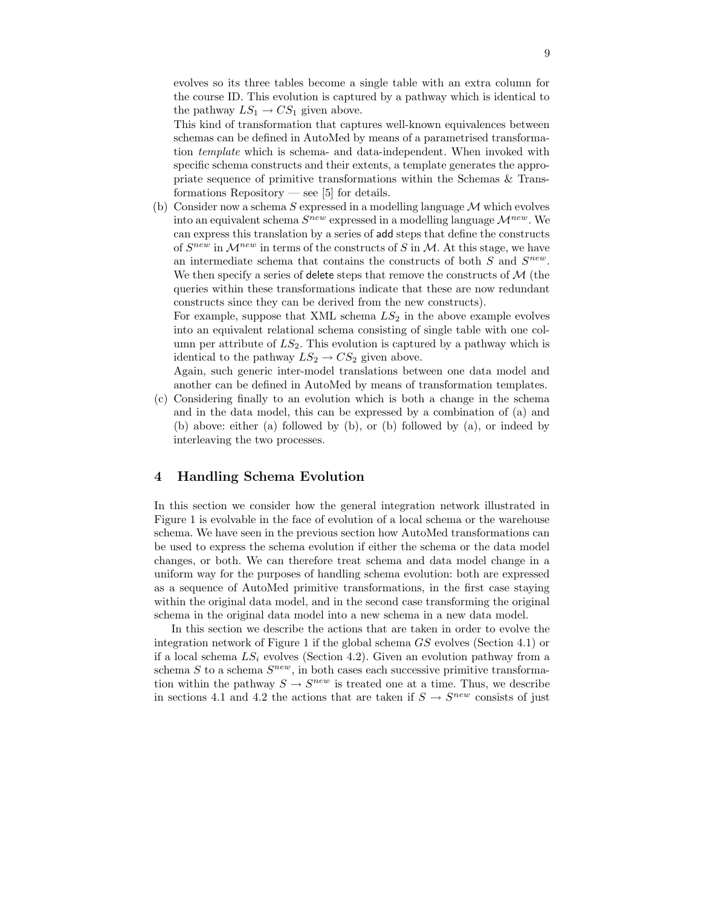evolves so its three tables become a single table with an extra column for the course ID. This evolution is captured by a pathway which is identical to the pathway  $LS_1 \rightarrow CS_1$  given above.

This kind of transformation that captures well-known equivalences between schemas can be defined in AutoMed by means of a parametrised transformation template which is schema- and data-independent. When invoked with specific schema constructs and their extents, a template generates the appropriate sequence of primitive transformations within the Schemas & Transformations Repository — see [5] for details.

(b) Consider now a schema  $S$  expressed in a modelling language  $\mathcal M$  which evolves into an equivalent schema  $S^{new}$  expressed in a modelling language  $\mathcal{M}^{new}$ . We can express this translation by a series of add steps that define the constructs of  $S^{new}$  in  $\mathcal{M}^{new}$  in terms of the constructs of S in M. At this stage, we have an intermediate schema that contains the constructs of both  $S$  and  $S^{new}$ . We then specify a series of delete steps that remove the constructs of  $M$  (the queries within these transformations indicate that these are now redundant constructs since they can be derived from the new constructs).

For example, suppose that XML schema  $LS_2$  in the above example evolves into an equivalent relational schema consisting of single table with one column per attribute of  $LS_2$ . This evolution is captured by a pathway which is identical to the pathway  $LS_2 \rightarrow CS_2$  given above.

Again, such generic inter-model translations between one data model and another can be defined in AutoMed by means of transformation templates.

(c) Considering finally to an evolution which is both a change in the schema and in the data model, this can be expressed by a combination of (a) and (b) above: either (a) followed by (b), or (b) followed by (a), or indeed by interleaving the two processes.

## 4 Handling Schema Evolution

In this section we consider how the general integration network illustrated in Figure 1 is evolvable in the face of evolution of a local schema or the warehouse schema. We have seen in the previous section how AutoMed transformations can be used to express the schema evolution if either the schema or the data model changes, or both. We can therefore treat schema and data model change in a uniform way for the purposes of handling schema evolution: both are expressed as a sequence of AutoMed primitive transformations, in the first case staying within the original data model, and in the second case transforming the original schema in the original data model into a new schema in a new data model.

In this section we describe the actions that are taken in order to evolve the integration network of Figure 1 if the global schema GS evolves (Section 4.1) or if a local schema  $LS_i$  evolves (Section 4.2). Given an evolution pathway from a schema  $S$  to a schema  $S^{new}$ , in both cases each successive primitive transformation within the pathway  $S \to S^{new}$  is treated one at a time. Thus, we describe in sections 4.1 and 4.2 the actions that are taken if  $S \to S^{new}$  consists of just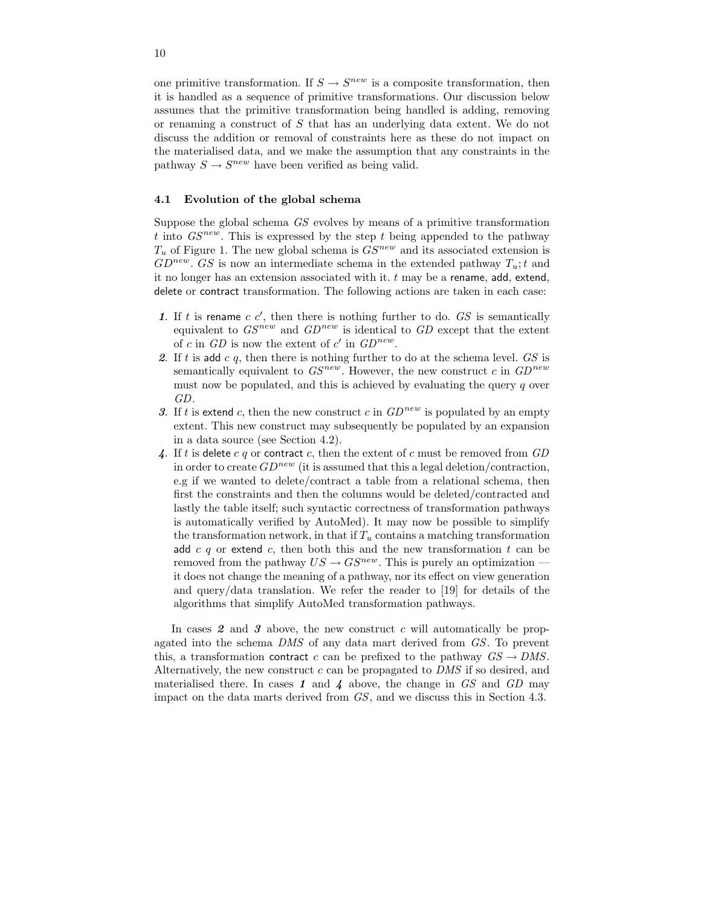one primitive transformation. If  $S \to S^{new}$  is a composite transformation, then it is handled as a sequence of primitive transformations. Our discussion below assumes that the primitive transformation being handled is adding, removing or renaming a construct of  $S$  that has an underlying data extent. We do not discuss the addition or removal of constraints here as these do not impact on the materialised data, and we make the assumption that any constraints in the pathway  $S \to S^{new}$  have been verified as being valid.

#### 4.1 Evolution of the global schema

Suppose the global schema GS evolves by means of a primitive transformation t into  $GS^{new}$ . This is expressed by the step t being appended to the pathway  $T_u$  of Figure 1. The new global schema is  $GS^{new}$  and its associated extension is  $GD^{new}$ . GS is now an intermediate schema in the extended pathway  $T_u$ ; t and it no longer has an extension associated with it.  $t$  may be a rename, add, extend, delete or contract transformation. The following actions are taken in each case:

- 1. If t is rename  $c$   $c'$ , then there is nothing further to do.  $GS$  is semantically equivalent to  $GS^{new}$  and  $GD^{new}$  is identical to GD except that the extent of c in  $GD$  is now the extent of c' in  $GD^{new}$ .
- 2. If t is add c q, then there is nothing further to do at the schema level.  $GS$  is semantically equivalent to  $GS^{new}$ . However, the new construct c in  $GD^{new}$ must now be populated, and this is achieved by evaluating the query  $q$  over GD.
- 3. If t is extend c, then the new construct c in  $GD^{new}$  is populated by an empty extent. This new construct may subsequently be populated by an expansion in a data source (see Section 4.2).
- 4. If t is delete  $c \, q$  or contract  $c$ , then the extent of  $c$  must be removed from  $GD$ in order to create  $GD^{new}$  (it is assumed that this a legal deletion/contraction, e.g if we wanted to delete/contract a table from a relational schema, then first the constraints and then the columns would be deleted/contracted and lastly the table itself; such syntactic correctness of transformation pathways is automatically verified by AutoMed). It may now be possible to simplify the transformation network, in that if  $T_u$  contains a matching transformation add c q or extend c, then both this and the new transformation t can be removed from the pathway  $US \to G S^{new}$ . This is purely an optimization it does not change the meaning of a pathway, nor its effect on view generation and query/data translation. We refer the reader to [19] for details of the algorithms that simplify AutoMed transformation pathways.

In cases  $2$  and  $3$  above, the new construct  $c$  will automatically be propagated into the schema DMS of any data mart derived from GS. To prevent this, a transformation contract c can be prefixed to the pathway  $GS \rightarrow DMS$ . Alternatively, the new construct  $c$  can be propagated to  $DMS$  if so desired, and materialised there. In cases 1 and 4 above, the change in  $GS$  and  $GD$  may impact on the data marts derived from GS, and we discuss this in Section 4.3.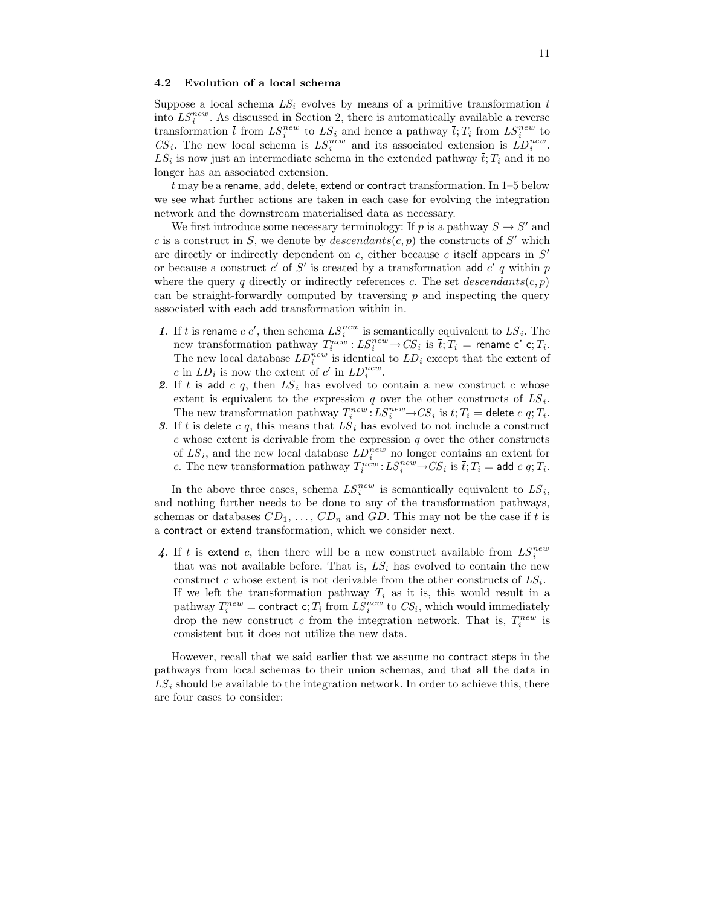#### 4.2 Evolution of a local schema

Suppose a local schema  $LS_i$  evolves by means of a primitive transformation t into  $LS_i^{new}$ . As discussed in Section 2, there is automatically available a reverse transformation  $\overline{t}$  from  $LS_i^{new}$  to  $LS_i$  and hence a pathway  $\overline{t}$ ;  $T_i$  from  $LS_i^{new}$  to  $CS_i$ . The new local schema is  $LS_i^{new}$  and its associated extension is  $LD_i^{new}$ .  $LS_i$  is now just an intermediate schema in the extended pathway  $\overline{t}$ ;  $T_i$  and it no longer has an associated extension.

t may be a rename, add, delete, extend or contract transformation. In 1–5 below we see what further actions are taken in each case for evolving the integration network and the downstream materialised data as necessary.

We first introduce some necessary terminology: If p is a pathway  $S \to S'$  and c is a construct in S, we denote by  $descendants(c, p)$  the constructs of S' which are directly or indirectly dependent on  $c$ , either because  $c$  itself appears in  $S'$ or because a construct  $c'$  of  $S'$  is created by a transformation add  $c' q$  within p where the query q directly or indirectly references c. The set  $descendants(c, p)$ can be straight-forwardly computed by traversing  $p$  and inspecting the query associated with each add transformation within in.

- 1. If t is rename  $c c'$ , then schema  $L S_i^{new}$  is semantically equivalent to  $L S_i$ . The new transformation pathway  $T_i^{new}: LS_i^{new} \rightarrow CS_i$  is  $\overline{t}; T_i =$  rename c' c;  $T_i$ . The new local database  $LD_i^{new}$  is identical to  $LD_i$  except that the extent of c in  $LD_i$  is now the extent of c' in  $LD_i^{new}$ .
- 2. If t is add c q, then  $LS<sub>i</sub>$  has evolved to contain a new construct c whose extent is equivalent to the expression q over the other constructs of  $LS_i$ . The new transformation pathway  $T_i^{new}: LS_i^{new} \rightarrow CS_i$  is  $\overline{t}; T_i =$  delete  $c$   $q; T_i$ .
- 3. If t is delete c q, this means that  $LS<sub>i</sub>$  has evolved to not include a construct  $c$  whose extent is derivable from the expression  $q$  over the other constructs of  $LS_i$ , and the new local database  $LD_i^{new}$  no longer contains an extent for c. The new transformation pathway  $T_i^{new}: LS_i^{new} \rightarrow CS_i$  is  $\overline{t}; T_i =$  add  $c q; T_i$ .

In the above three cases, schema  $LS_i^{new}$  is semantically equivalent to  $LS_i$ , and nothing further needs to be done to any of the transformation pathways, schemas or databases  $CD_1, \ldots, CD_n$  and GD. This may not be the case if t is a contract or extend transformation, which we consider next.

4. If t is extend c, then there will be a new construct available from  $LS_i^{new}$ that was not available before. That is,  $LS<sub>i</sub>$  has evolved to contain the new construct c whose extent is not derivable from the other constructs of  $LS_i$ . If we left the transformation pathway  $T_i$  as it is, this would result in a pathway  $T_i^{new} = \text{contract c}; T_i \text{ from } LS_i^{new}$  to  $CS_i$ , which would immediately drop the new construct c from the integration network. That is,  $T_i^{new}$  is consistent but it does not utilize the new data.

However, recall that we said earlier that we assume no contract steps in the pathways from local schemas to their union schemas, and that all the data in  $LS<sub>i</sub>$  should be available to the integration network. In order to achieve this, there are four cases to consider: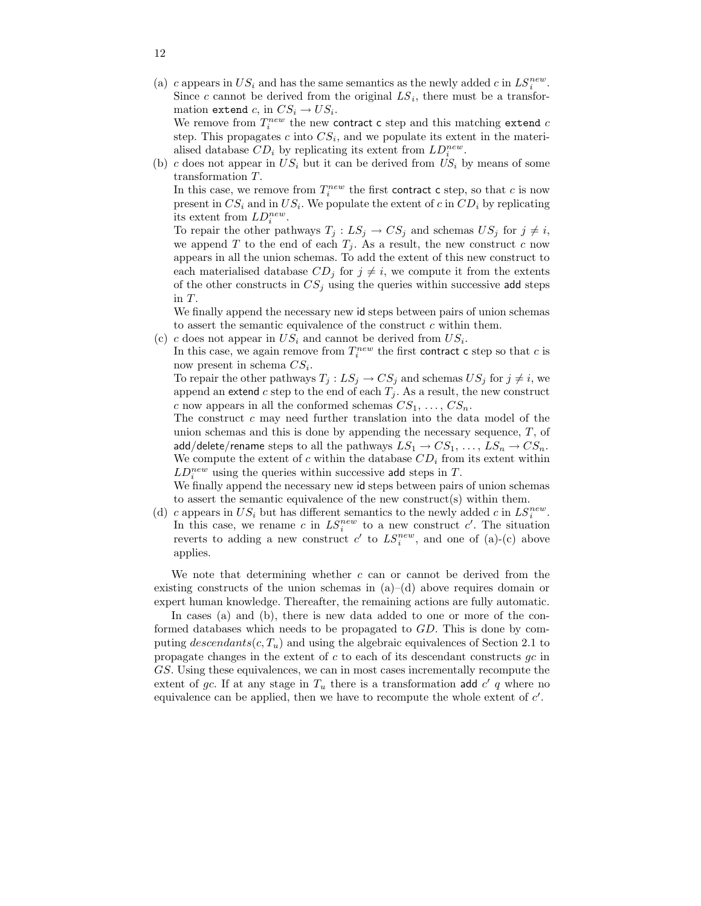(a) c appears in  $US_i$  and has the same semantics as the newly added c in  $LS_i^{new}$ . Since c cannot be derived from the original  $LS<sub>i</sub>$ , there must be a transformation extend  $c$ , in  $CS_i \rightarrow US_i$ .

We remove from  $T_i^{new}$  the new contract c step and this matching extend  $c$ step. This propagates c into  $CS_i$ , and we populate its extent in the materialised database  $CD_i$  by replicating its extent from  $LD_i^{new}$ .

(b) c does not appear in  $US_i$  but it can be derived from  $US_i$  by means of some transformation T.

In this case, we remove from  $T_i^{new}$  the first contract c step, so that c is now present in  $CS_i$  and in  $US_i$ . We populate the extent of c in  $CD_i$  by replicating its extent from  $LD_i^{new}$ .

To repair the other pathways  $T_j : LS_j \to CS_j$  and schemas  $US_j$  for  $j \neq i$ , we append T to the end of each  $T_j$ . As a result, the new construct c now appears in all the union schemas. To add the extent of this new construct to each materialised database  $CD_i$  for  $j \neq i$ , we compute it from the extents of the other constructs in  $CS<sub>j</sub>$  using the queries within successive add steps in T.

We finally append the necessary new id steps between pairs of union schemas to assert the semantic equivalence of the construct c within them.

(c) c does not appear in  $US_i$  and cannot be derived from  $US_i$ .

In this case, we again remove from  $T_i^{new}$  the first contract c step so that c is now present in schema  $CS_i$ .

To repair the other pathways  $T_j : LS_j \to CS_j$  and schemas  $US_j$  for  $j \neq i$ , we append an extend c step to the end of each  $T_j$ . As a result, the new construct c now appears in all the conformed schemas  $CS_1, \ldots, CS_n$ .

The construct c may need further translation into the data model of the union schemas and this is done by appending the necessary sequence,  $T$ , of add/delete/rename steps to all the pathways  $LS_1 \rightarrow CS_1, \ldots, LS_n \rightarrow CS_n$ . We compute the extent of c within the database  $CD<sub>i</sub>$  from its extent within  $LD_i^{new}$  using the queries within successive add steps in T.

We finally append the necessary new id steps between pairs of union schemas to assert the semantic equivalence of the new construct(s) within them.

(d) c appears in  $US_i$  but has different semantics to the newly added c in  $LS_i^{new}$ . In this case, we rename c in  $LS_i^{new}$  to a new construct c'. The situation reverts to adding a new construct  $c'$  to  $LS_i^{new}$ , and one of (a)-(c) above applies.

We note that determining whether  $c$  can or cannot be derived from the existing constructs of the union schemas in  $(a)$ – $(d)$  above requires domain or expert human knowledge. Thereafter, the remaining actions are fully automatic.

In cases (a) and (b), there is new data added to one or more of the conformed databases which needs to be propagated to GD. This is done by computing descendants(c,  $T_u$ ) and using the algebraic equivalences of Section 2.1 to propagate changes in the extent of  $c$  to each of its descendant constructs  $gc$  in GS. Using these equivalences, we can in most cases incrementally recompute the extent of gc. If at any stage in  $T_u$  there is a transformation add  $c' q$  where no equivalence can be applied, then we have to recompute the whole extent of  $c'$ .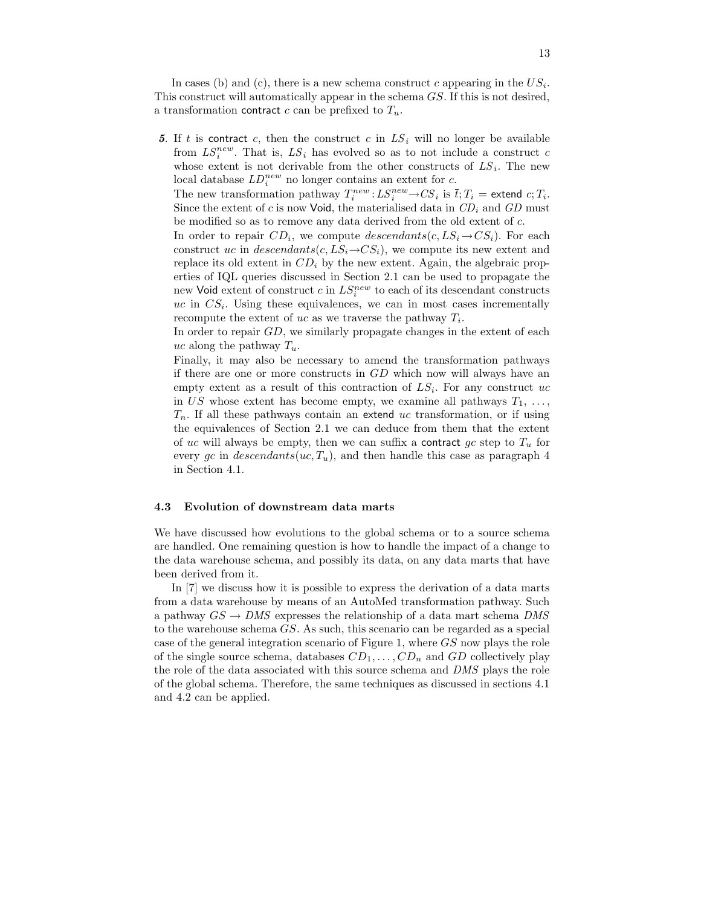In cases (b) and (c), there is a new schema construct c appearing in the  $US_i$ . This construct will automatically appear in the schema GS. If this is not desired, a transformation contract c can be prefixed to  $T_u$ .

5. If t is contract c, then the construct c in  $LS_i$  will no longer be available from  $LS_i^{new}$ . That is,  $LS_i$  has evolved so as to not include a construct c whose extent is not derivable from the other constructs of  $LS_i$ . The new local database  $LD_i^{new}$  no longer contains an extent for c.

The new transformation pathway  $T_i^{new}: LS_i^{new} \rightarrow CS_i$  is  $\overline{t}; T_i =$  extend  $c; T_i$ . Since the extent of c is now Void, the materialised data in  $CD_i$  and  $GD$  must be modified so as to remove any data derived from the old extent of c.

In order to repair  $CD_i$ , we compute descendants $(c, LS_i \rightarrow CS_i)$ . For each construct uc in descendants(c,  $LS_i \rightarrow CS_i$ ), we compute its new extent and replace its old extent in  $CD_i$  by the new extent. Again, the algebraic properties of IQL queries discussed in Section 2.1 can be used to propagate the new Void extent of construct  $c$  in  $LS_i^{new}$  to each of its descendant constructs  $uc$  in  $CS_i$ . Using these equivalences, we can in most cases incrementally recompute the extent of uc as we traverse the pathway  $T_i$ .

In order to repair GD, we similarly propagate changes in the extent of each uc along the pathway  $T_u$ .

Finally, it may also be necessary to amend the transformation pathways if there are one or more constructs in GD which now will always have an empty extent as a result of this contraction of  $LS_i$ . For any construct uc in US whose extent has become empty, we examine all pathways  $T_1, \ldots,$  $T_n$ . If all these pathways contain an extend uc transformation, or if using the equivalences of Section 2.1 we can deduce from them that the extent of uc will always be empty, then we can suffix a contract gc step to  $T_u$  for every gc in descendants(uc,  $T_u$ ), and then handle this case as paragraph 4 in Section 4.1.

#### 4.3 Evolution of downstream data marts

We have discussed how evolutions to the global schema or to a source schema are handled. One remaining question is how to handle the impact of a change to the data warehouse schema, and possibly its data, on any data marts that have been derived from it.

In [7] we discuss how it is possible to express the derivation of a data marts from a data warehouse by means of an AutoMed transformation pathway. Such a pathway  $GS \rightarrow DMS$  expresses the relationship of a data mart schema DMS to the warehouse schema GS. As such, this scenario can be regarded as a special case of the general integration scenario of Figure 1, where GS now plays the role of the single source schema, databases  $CD_1, \ldots, CD_n$  and GD collectively play the role of the data associated with this source schema and DMS plays the role of the global schema. Therefore, the same techniques as discussed in sections 4.1 and 4.2 can be applied.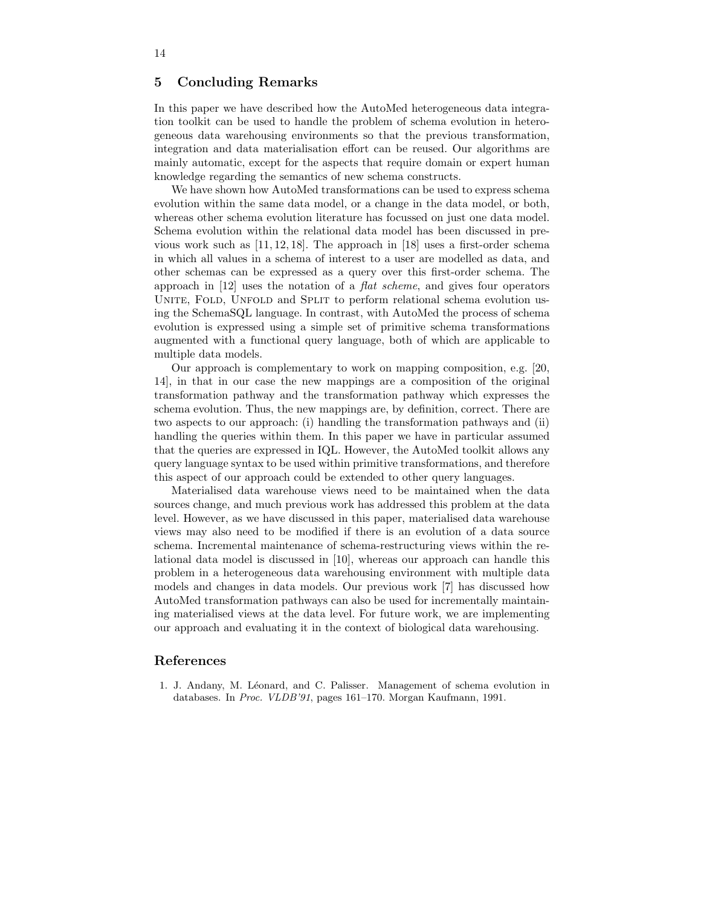# 5 Concluding Remarks

In this paper we have described how the AutoMed heterogeneous data integration toolkit can be used to handle the problem of schema evolution in heterogeneous data warehousing environments so that the previous transformation, integration and data materialisation effort can be reused. Our algorithms are mainly automatic, except for the aspects that require domain or expert human knowledge regarding the semantics of new schema constructs.

We have shown how AutoMed transformations can be used to express schema evolution within the same data model, or a change in the data model, or both, whereas other schema evolution literature has focussed on just one data model. Schema evolution within the relational data model has been discussed in previous work such as [11, 12, 18]. The approach in [18] uses a first-order schema in which all values in a schema of interest to a user are modelled as data, and other schemas can be expressed as a query over this first-order schema. The approach in [12] uses the notation of a flat scheme, and gives four operators UNITE, FOLD, UNFOLD and SPLIT to perform relational schema evolution using the SchemaSQL language. In contrast, with AutoMed the process of schema evolution is expressed using a simple set of primitive schema transformations augmented with a functional query language, both of which are applicable to multiple data models.

Our approach is complementary to work on mapping composition, e.g. [20, 14], in that in our case the new mappings are a composition of the original transformation pathway and the transformation pathway which expresses the schema evolution. Thus, the new mappings are, by definition, correct. There are two aspects to our approach: (i) handling the transformation pathways and (ii) handling the queries within them. In this paper we have in particular assumed that the queries are expressed in IQL. However, the AutoMed toolkit allows any query language syntax to be used within primitive transformations, and therefore this aspect of our approach could be extended to other query languages.

Materialised data warehouse views need to be maintained when the data sources change, and much previous work has addressed this problem at the data level. However, as we have discussed in this paper, materialised data warehouse views may also need to be modified if there is an evolution of a data source schema. Incremental maintenance of schema-restructuring views within the relational data model is discussed in [10], whereas our approach can handle this problem in a heterogeneous data warehousing environment with multiple data models and changes in data models. Our previous work [7] has discussed how AutoMed transformation pathways can also be used for incrementally maintaining materialised views at the data level. For future work, we are implementing our approach and evaluating it in the context of biological data warehousing.

## References

1. J. Andany, M. Léonard, and C. Palisser. Management of schema evolution in databases. In Proc. VLDB'91, pages 161–170. Morgan Kaufmann, 1991.